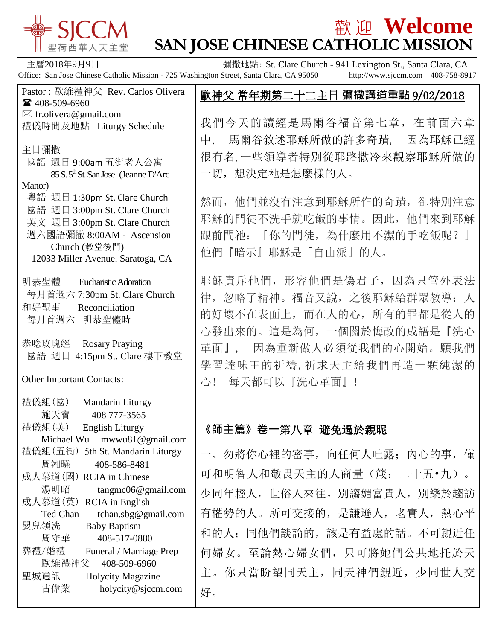

 粵語 週日 1:30pm St. Clare Church 國語 週日 3:00pm St. Clare Church 英文 週日 3:00pm St. Clare Church 週六國語彌撒 8:00AM - Ascension Church (教堂後門)

12033 Miller Avenue. Saratoga, CA

每月首週六 7:30pm St. Clare Church

國語 週日 4:15pm St. Clare 樓下教堂

Michael Wu mwwu81@gmail.com

湯明昭 tangmc06@gmail.com

Ted Chan tchan.sbg@gmail.com

古偉業 [holycity@sjccm.com](mailto:holycity@sjccm.com)

禮儀組(五街) 5th St. Mandarin Liturgy 周湘曉 408-586-8481 成人慕道(國) RCIA in Chinese

明恭聖體 Eucharistic Adoration

和好聖事 Reconciliation 每月首週六 明恭聖體時

恭唸玫瑰經 Rosary Praying

禮儀組(國) Mandarin Liturgy 施天寶 408 777-3565

禮儀組(英) English Liturgy

成人慕道(英) RCIA in English

嬰兒領洗 Baby Baptism

 周守華 408-517-0880 葬禮/婚禮 Funeral / Marriage Prep 歐維禮神父 408-509-6960 聖城通訊 Holycity Magazine

Other Important Contacts:

Manor)

## 歡 迎 **Welcome SAN JOSE CHINESE CATHOLIC MISSION**

主曆2018年9月9日 **Example 2018年9月9日 The Convent Clare Chara**, CA or Banger The Chara Chara, CA or Banger The Chara, CA Office: San Jose Chinese Catholic Mission - 725 Washington Street, Santa Clara, CA 95050 http://www.sjccm.com 408-758-8917 Pastor : 歐維禮神父 Rev. Carlos Olivera ■ 408-509-6960  $\boxtimes$  fr.olivera@gmail.com 禮儀時間及地點 Liturgy Schedule 主日彌撒 國語 週日 9:00am 五街老人公寓 85 S. 5<sup>th</sup> St. San Jose (Jeanne D'Arc) 歐神父 常年期第二十二主日 **彌撒講道重點** 9**/**02**/2018** 我們今天的讀經是馬爾谷福音第七章,在前面六章 中, 馬爾谷敘述耶穌所做的許多奇蹟, 因為耶穌已經 很有名,一些領導者特別從耶路撒冷來觀察耶穌所做的 一切,想決定祂是怎麼樣的人。

> 然而,他們並沒有注意到耶穌所作的奇蹟,卻特別注意 耶穌的門徒不洗手就吃飯的事情。因此,他們來到耶穌 跟前問祂:「你的門徒,為什麼用不潔的手吃飯呢?」 他們『暗示』耶穌是「自由派」的人。

> 耶穌責斥他們,形容他們是偽君子,因為只管外表法 律,忽略了精神。福音又說,之後耶穌給群眾教導:人 的好壞不在表面上,而在人的心,所有的罪都是從人的 心發出來的。這是為何,一個關於悔改的成語是『洗心 革面』, 因為重新做人必須從我們的心開始。願我們 學習達味王的祈禱,祈求天主給我們再造一顆純潔的 心! 每天都可以『洗心革面』!

## **《師主篇》卷一**第八章 避免過於親昵

一、勿將你心裡的密事,向任何人吐露;內心的事,僅 可和明智人和敬畏天主的人商量(箴:二十五•九)。 少同年輕人,世俗人來往。別謅媚富貴人,別樂於趨訪 有權勢的人。所可交接的,是謙遜人,老實人,熱心平 和的人;同他們談論的,該是有益處的話。不可親近任 何婦女。至論熱心婦女們,只可將她們公共地托於天 主。你只當盼望同天主,同天神們親近,少同世人交 好。